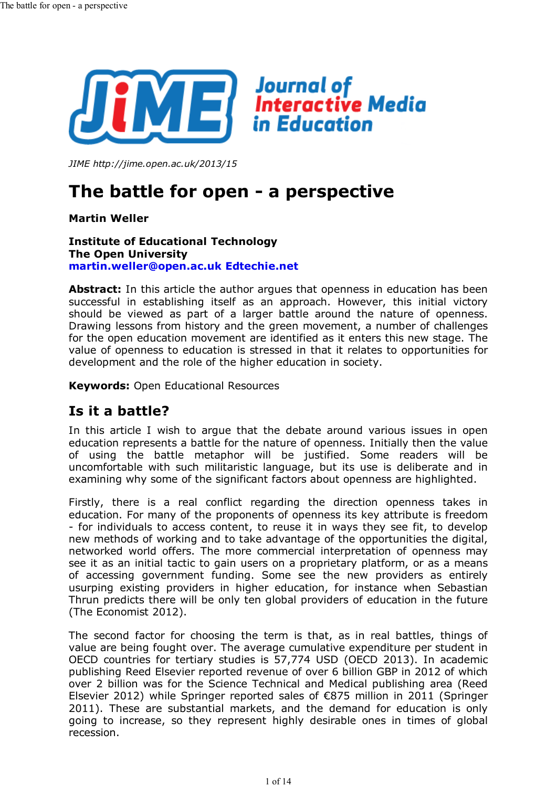

*JIME http://jime.open.ac.uk/2013/15*

# **The battle for open - a perspective**

**Martin Weller**

#### **Institute of Educational Technology The Open University martin.weller@open.ac.uk Edtechie.net**

**Abstract:** In this article the author argues that openness in education has been successful in establishing itself as an approach. However, this initial victory should be viewed as part of a larger battle around the nature of openness. Drawing lessons from history and the green movement, a number of challenges for the open education movement are identified as it enters this new stage. The value of openness to education is stressed in that it relates to opportunities for development and the role of the higher education in society.

**Keywords:** Open Educational Resources

# **Is it a battle?**

In this article I wish to argue that the debate around various issues in open education represents a battle for the nature of openness. Initially then the value of using the battle metaphor will be justified. Some readers will be uncomfortable with such militaristic language, but its use is deliberate and in examining why some of the significant factors about openness are highlighted.

Firstly, there is a real conflict regarding the direction openness takes in education. For many of the proponents of openness its key attribute is freedom - for individuals to access content, to reuse it in ways they see fit, to develop new methods of working and to take advantage of the opportunities the digital, networked world offers. The more commercial interpretation of openness may see it as an initial tactic to gain users on a proprietary platform, or as a means of accessing government funding. Some see the new providers as entirely usurping existing providers in higher education, for instance when Sebastian Thrun predicts there will be only ten global providers of education in the future (The Economist 2012).

The second factor for choosing the term is that, as in real battles, things of value are being fought over. The average cumulative expenditure per student in OECD countries for tertiary studies is 57,774 USD (OECD 2013). In academic publishing Reed Elsevier reported revenue of over 6 billion GBP in 2012 of which over 2 billion was for the Science Technical and Medical publishing area (Reed Elsevier 2012) while Springer reported sales of €875 million in 2011 (Springer 2011). These are substantial markets, and the demand for education is only going to increase, so they represent highly desirable ones in times of global recession.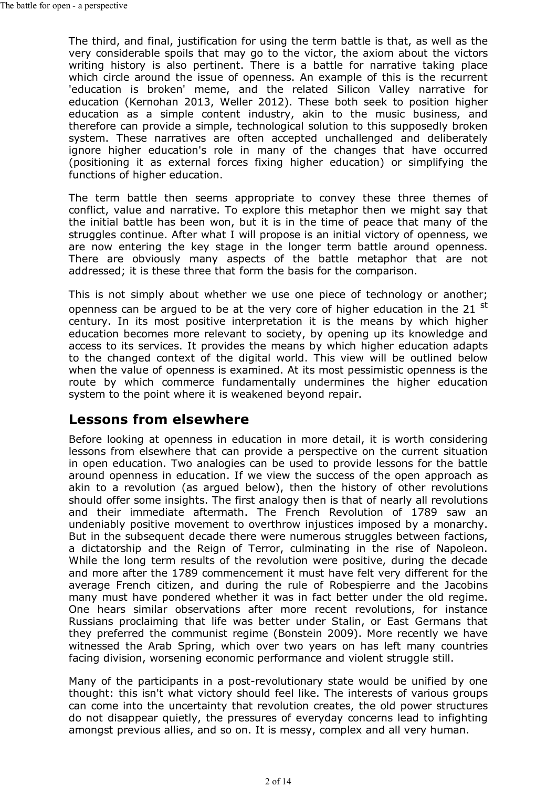The third, and final, justification for using the term battle is that, as well as the very considerable spoils that may go to the victor, the axiom about the victors writing history is also pertinent. There is a battle for narrative taking place which circle around the issue of openness. An example of this is the recurrent 'education is broken' meme, and the related Silicon Valley narrative for education (Kernohan 2013, Weller 2012). These both seek to position higher education as a simple content industry, akin to the music business, and therefore can provide a simple, technological solution to this supposedly broken system. These narratives are often accepted unchallenged and deliberately ignore higher education's role in many of the changes that have occurred (positioning it as external forces fixing higher education) or simplifying the functions of higher education.

The term battle then seems appropriate to convey these three themes of conflict, value and narrative. To explore this metaphor then we might say that the initial battle has been won, but it is in the time of peace that many of the struggles continue. After what I will propose is an initial victory of openness, we are now entering the key stage in the longer term battle around openness. There are obviously many aspects of the battle metaphor that are not addressed; it is these three that form the basis for the comparison.

This is not simply about whether we use one piece of technology or another; openness can be argued to be at the very core of higher education in the 21 st century. In its most positive interpretation it is the means by which higher education becomes more relevant to society, by opening up its knowledge and access to its services. It provides the means by which higher education adapts to the changed context of the digital world. This view will be outlined below when the value of openness is examined. At its most pessimistic openness is the route by which commerce fundamentally undermines the higher education system to the point where it is weakened beyond repair.

# **Lessons from elsewhere**

Before looking at openness in education in more detail, it is worth considering lessons from elsewhere that can provide a perspective on the current situation in open education. Two analogies can be used to provide lessons for the battle around openness in education. If we view the success of the open approach as akin to a revolution (as argued below), then the history of other revolutions should offer some insights. The first analogy then is that of nearly all revolutions and their immediate aftermath. The French Revolution of 1789 saw an undeniably positive movement to overthrow injustices imposed by a monarchy. But in the subsequent decade there were numerous struggles between factions, a dictatorship and the Reign of Terror, culminating in the rise of Napoleon. While the long term results of the revolution were positive, during the decade and more after the 1789 commencement it must have felt very different for the average French citizen, and during the rule of Robespierre and the Jacobins many must have pondered whether it was in fact better under the old regime. One hears similar observations after more recent revolutions, for instance Russians proclaiming that life was better under Stalin, or East Germans that they preferred the communist regime (Bonstein 2009). More recently we have witnessed the Arab Spring, which over two years on has left many countries facing division, worsening economic performance and violent struggle still.

Many of the participants in a post-revolutionary state would be unified by one thought: this isn't what victory should feel like. The interests of various groups can come into the uncertainty that revolution creates, the old power structures do not disappear quietly, the pressures of everyday concerns lead to infighting amongst previous allies, and so on. It is messy, complex and all very human.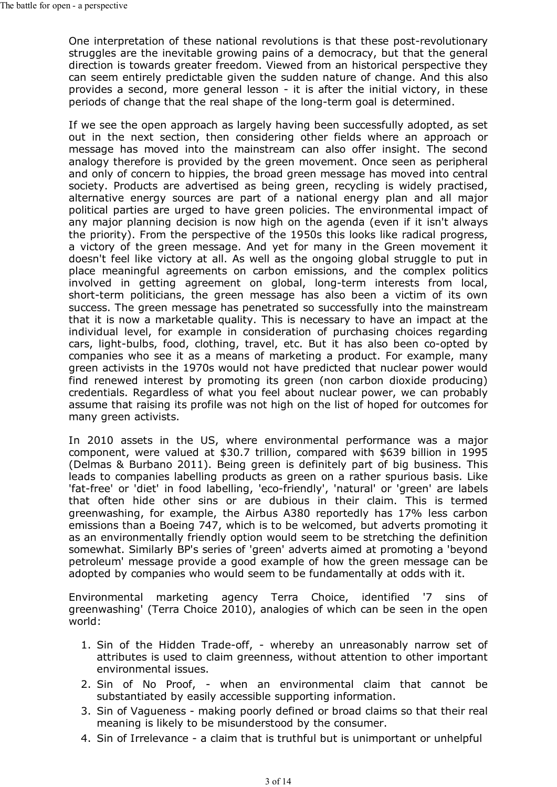One interpretation of these national revolutions is that these post-revolutionary struggles are the inevitable growing pains of a democracy, but that the general direction is towards greater freedom. Viewed from an historical perspective they can seem entirely predictable given the sudden nature of change. And this also provides a second, more general lesson - it is after the initial victory, in these periods of change that the real shape of the long-term goal is determined.

If we see the open approach as largely having been successfully adopted, as set out in the next section, then considering other fields where an approach or message has moved into the mainstream can also offer insight. The second analogy therefore is provided by the green movement. Once seen as peripheral and only of concern to hippies, the broad green message has moved into central society. Products are advertised as being green, recycling is widely practised, alternative energy sources are part of a national energy plan and all major political parties are urged to have green policies. The environmental impact of any major planning decision is now high on the agenda (even if it isn't always the priority). From the perspective of the 1950s this looks like radical progress, a victory of the green message. And yet for many in the Green movement it doesn't feel like victory at all. As well as the ongoing global struggle to put in place meaningful agreements on carbon emissions, and the complex politics involved in getting agreement on global, long-term interests from local, short-term politicians, the green message has also been a victim of its own success. The green message has penetrated so successfully into the mainstream that it is now a marketable quality. This is necessary to have an impact at the individual level, for example in consideration of purchasing choices regarding cars, light-bulbs, food, clothing, travel, etc. But it has also been co-opted by companies who see it as a means of marketing a product. For example, many green activists in the 1970s would not have predicted that nuclear power would find renewed interest by promoting its green (non carbon dioxide producing) credentials. Regardless of what you feel about nuclear power, we can probably assume that raising its profile was not high on the list of hoped for outcomes for many green activists.

In 2010 assets in the US, where environmental performance was a major component, were valued at \$30.7 trillion, compared with \$639 billion in 1995 (Delmas & Burbano 2011). Being green is definitely part of big business. This leads to companies labelling products as green on a rather spurious basis. Like 'fat-free' or 'diet' in food labelling, 'eco-friendly', 'natural' or 'green' are labels that often hide other sins or are dubious in their claim. This is termed greenwashing, for example, the Airbus A380 reportedly has 17% less carbon emissions than a Boeing 747, which is to be welcomed, but adverts promoting it as an environmentally friendly option would seem to be stretching the definition somewhat. Similarly BP's series of 'green' adverts aimed at promoting a 'beyond petroleum' message provide a good example of how the green message can be adopted by companies who would seem to be fundamentally at odds with it.

Environmental marketing agency Terra Choice, identified '7 sins of greenwashing' (Terra Choice 2010), analogies of which can be seen in the open world:

- 1. Sin of the Hidden Trade-off, whereby an unreasonably narrow set of attributes is used to claim greenness, without attention to other important environmental issues.
- 2. Sin of No Proof, when an environmental claim that cannot be substantiated by easily accessible supporting information.
- Sin of Vagueness making poorly defined or broad claims so that their real 3. meaning is likely to be misunderstood by the consumer.
- 4. Sin of Irrelevance a claim that is truthful but is unimportant or unhelpful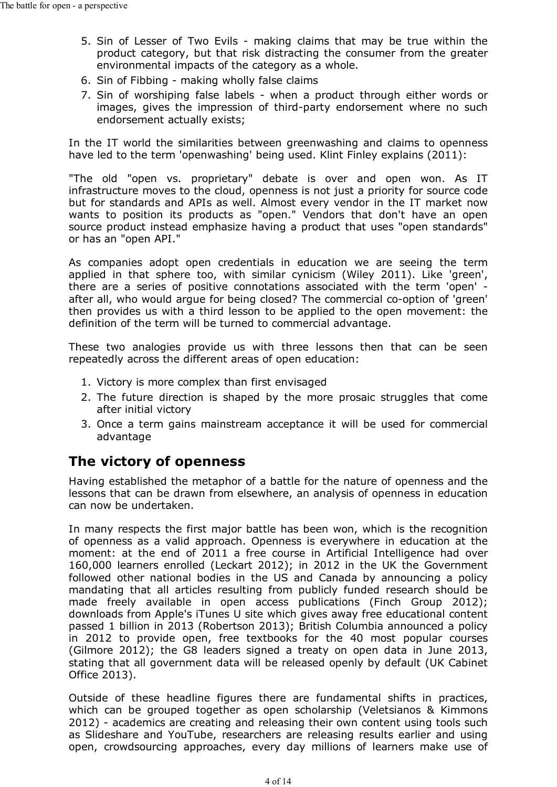- 5. Sin of Lesser of Two Evils making claims that may be true within the product category, but that risk distracting the consumer from the greater environmental impacts of the category as a whole.
- 6. Sin of Fibbing making wholly false claims
- 7. Sin of worshiping false labels when a product through either words or images, gives the impression of third-party endorsement where no such endorsement actually exists;

In the IT world the similarities between greenwashing and claims to openness have led to the term 'openwashing' being used. Klint Finley explains (2011):

"The old "open vs. proprietary" debate is over and open won. As IT infrastructure moves to the cloud, openness is not just a priority for source code but for standards and APIs as well. Almost every vendor in the IT market now wants to position its products as "open." Vendors that don't have an open source product instead emphasize having a product that uses "open standards" or has an "open API."

As companies adopt open credentials in education we are seeing the term applied in that sphere too, with similar cynicism (Wiley 2011). Like 'green', there are a series of positive connotations associated with the term 'open' after all, who would argue for being closed? The commercial co-option of 'green' then provides us with a third lesson to be applied to the open movement: the definition of the term will be turned to commercial advantage.

These two analogies provide us with three lessons then that can be seen repeatedly across the different areas of open education:

- 1. Victory is more complex than first envisaged
- The future direction is shaped by the more prosaic struggles that come 2. after initial victory
- Once a term gains mainstream acceptance it will be used for commercial 3. advantage

# **The victory of openness**

Having established the metaphor of a battle for the nature of openness and the lessons that can be drawn from elsewhere, an analysis of openness in education can now be undertaken.

In many respects the first major battle has been won, which is the recognition of openness as a valid approach. Openness is everywhere in education at the moment: at the end of 2011 a free course in Artificial Intelligence had over 160,000 learners enrolled (Leckart 2012); in 2012 in the UK the Government followed other national bodies in the US and Canada by announcing a policy mandating that all articles resulting from publicly funded research should be made freely available in open access publications (Finch Group 2012); downloads from Apple's iTunes U site which gives away free educational content passed 1 billion in 2013 (Robertson 2013); British Columbia announced a policy in 2012 to provide open, free textbooks for the 40 most popular courses (Gilmore 2012); the G8 leaders signed a treaty on open data in June 2013, stating that all government data will be released openly by default (UK Cabinet Office 2013).

Outside of these headline figures there are fundamental shifts in practices, which can be grouped together as open scholarship (Veletsianos & Kimmons 2012) - academics are creating and releasing their own content using tools such as Slideshare and YouTube, researchers are releasing results earlier and using open, crowdsourcing approaches, every day millions of learners make use of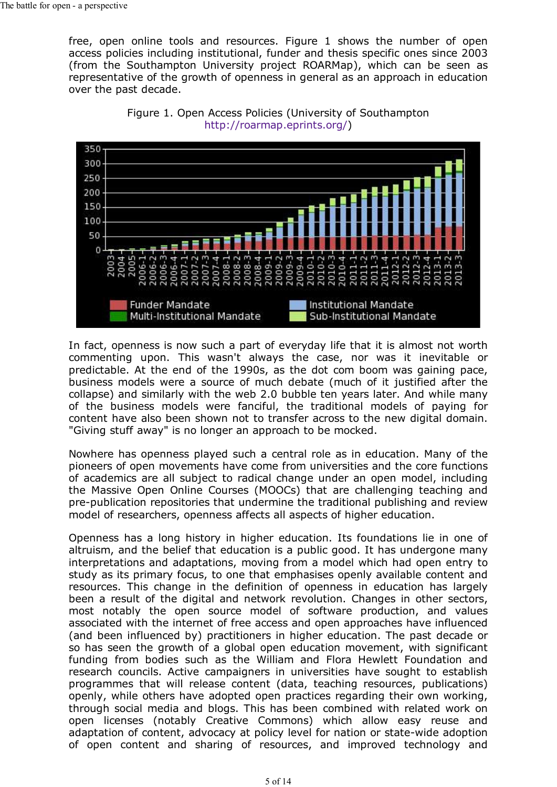free, open online tools and resources. Figure 1 shows the number of open access policies including institutional, funder and thesis specific ones since 2003 (from the Southampton University project ROARMap), which can be seen as representative of the growth of openness in general as an approach in education over the past decade.





In fact, openness is now such a part of everyday life that it is almost not worth commenting upon. This wasn't always the case, nor was it inevitable or predictable. At the end of the 1990s, as the dot com boom was gaining pace, business models were a source of much debate (much of it justified after the collapse) and similarly with the web 2.0 bubble ten years later. And while many of the business models were fanciful, the traditional models of paying for content have also been shown not to transfer across to the new digital domain. "Giving stuff away" is no longer an approach to be mocked.

Nowhere has openness played such a central role as in education. Many of the pioneers of open movements have come from universities and the core functions of academics are all subject to radical change under an open model, including the Massive Open Online Courses (MOOCs) that are challenging teaching and pre-publication repositories that undermine the traditional publishing and review model of researchers, openness affects all aspects of higher education.

Openness has a long history in higher education. Its foundations lie in one of altruism, and the belief that education is a public good. It has undergone many interpretations and adaptations, moving from a model which had open entry to study as its primary focus, to one that emphasises openly available content and resources. This change in the definition of openness in education has largely been a result of the digital and network revolution. Changes in other sectors, most notably the open source model of software production, and values associated with the internet of free access and open approaches have influenced (and been influenced by) practitioners in higher education. The past decade or so has seen the growth of a global open education movement, with significant funding from bodies such as the William and Flora Hewlett Foundation and research councils. Active campaigners in universities have sought to establish programmes that will release content (data, teaching resources, publications) openly, while others have adopted open practices regarding their own working, through social media and blogs. This has been combined with related work on open licenses (notably Creative Commons) which allow easy reuse and adaptation of content, advocacy at policy level for nation or state-wide adoption of open content and sharing of resources, and improved technology and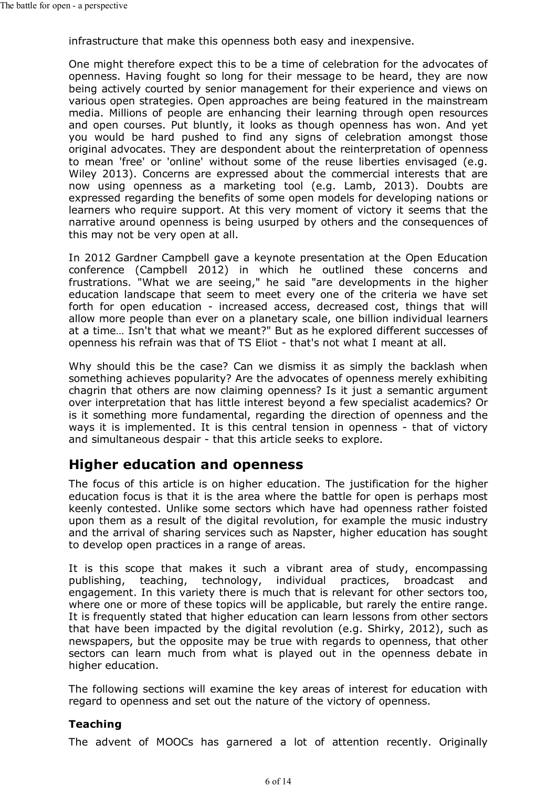infrastructure that make this openness both easy and inexpensive.

One might therefore expect this to be a time of celebration for the advocates of openness. Having fought so long for their message to be heard, they are now being actively courted by senior management for their experience and views on various open strategies. Open approaches are being featured in the mainstream media. Millions of people are enhancing their learning through open resources and open courses. Put bluntly, it looks as though openness has won. And yet you would be hard pushed to find any signs of celebration amongst those original advocates. They are despondent about the reinterpretation of openness to mean 'free' or 'online' without some of the reuse liberties envisaged (e.g. Wiley 2013). Concerns are expressed about the commercial interests that are now using openness as a marketing tool (e.g. Lamb, 2013). Doubts are expressed regarding the benefits of some open models for developing nations or learners who require support. At this very moment of victory it seems that the narrative around openness is being usurped by others and the consequences of this may not be very open at all.

In 2012 Gardner Campbell gave a keynote presentation at the Open Education conference (Campbell 2012) in which he outlined these concerns and frustrations. "What we are seeing," he said "are developments in the higher education landscape that seem to meet every one of the criteria we have set forth for open education - increased access, decreased cost, things that will allow more people than ever on a planetary scale, one billion individual learners at a time… Isn't that what we meant?" But as he explored different successes of openness his refrain was that of TS Eliot - that's not what I meant at all.

Why should this be the case? Can we dismiss it as simply the backlash when something achieves popularity? Are the advocates of openness merely exhibiting chagrin that others are now claiming openness? Is it just a semantic argument over interpretation that has little interest beyond a few specialist academics? Or is it something more fundamental, regarding the direction of openness and the ways it is implemented. It is this central tension in openness - that of victory and simultaneous despair - that this article seeks to explore.

# **Higher education and openness**

The focus of this article is on higher education. The justification for the higher education focus is that it is the area where the battle for open is perhaps most keenly contested. Unlike some sectors which have had openness rather foisted upon them as a result of the digital revolution, for example the music industry and the arrival of sharing services such as Napster, higher education has sought to develop open practices in a range of areas.

It is this scope that makes it such a vibrant area of study, encompassing publishing, teaching, technology, individual practices, broadcast and engagement. In this variety there is much that is relevant for other sectors too, where one or more of these topics will be applicable, but rarely the entire range. It is frequently stated that higher education can learn lessons from other sectors that have been impacted by the digital revolution (e.g. Shirky, 2012), such as newspapers, but the opposite may be true with regards to openness, that other sectors can learn much from what is played out in the openness debate in higher education.

The following sections will examine the key areas of interest for education with regard to openness and set out the nature of the victory of openness.

#### **Teaching**

The advent of MOOCs has garnered a lot of attention recently. Originally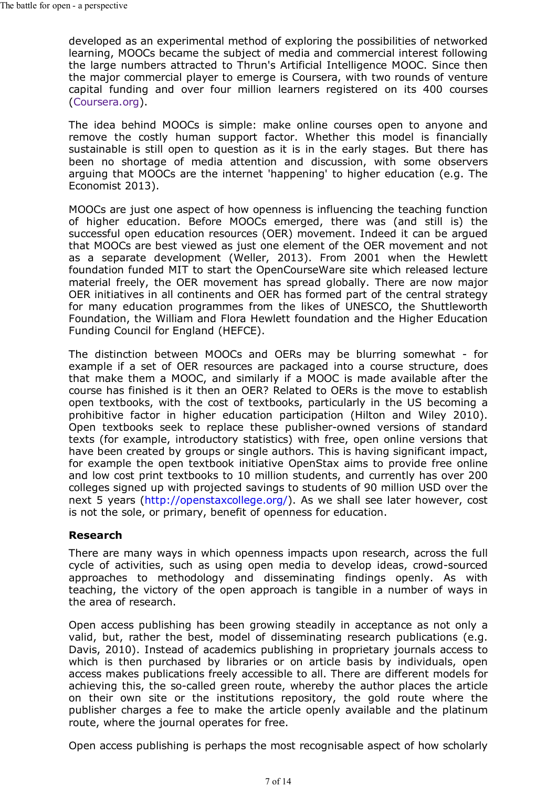developed as an experimental method of exploring the possibilities of networked learning, MOOCs became the subject of media and commercial interest following the large numbers attracted to Thrun's Artificial Intelligence MOOC. Since then the major commercial player to emerge is Coursera, with two rounds of venture capital funding and over four million learners registered on its 400 courses (Coursera.org).

The idea behind MOOCs is simple: make online courses open to anyone and remove the costly human support factor. Whether this model is financially sustainable is still open to question as it is in the early stages. But there has been no shortage of media attention and discussion, with some observers arguing that MOOCs are the internet 'happening' to higher education (e.g. The Economist 2013).

MOOCs are just one aspect of how openness is influencing the teaching function of higher education. Before MOOCs emerged, there was (and still is) the successful open education resources (OER) movement. Indeed it can be argued that MOOCs are best viewed as just one element of the OER movement and not as a separate development (Weller, 2013). From 2001 when the Hewlett foundation funded MIT to start the OpenCourseWare site which released lecture material freely, the OER movement has spread globally. There are now major OER initiatives in all continents and OER has formed part of the central strategy for many education programmes from the likes of UNESCO, the Shuttleworth Foundation, the William and Flora Hewlett foundation and the Higher Education Funding Council for England (HEFCE).

The distinction between MOOCs and OERs may be blurring somewhat - for example if a set of OER resources are packaged into a course structure, does that make them a MOOC, and similarly if a MOOC is made available after the course has finished is it then an OER? Related to OERs is the move to establish open textbooks, with the cost of textbooks, particularly in the US becoming a prohibitive factor in higher education participation (Hilton and Wiley 2010). Open textbooks seek to replace these publisher-owned versions of standard texts (for example, introductory statistics) with free, open online versions that have been created by groups or single authors. This is having significant impact, for example the open textbook initiative OpenStax aims to provide free online and low cost print textbooks to 10 million students, and currently has over 200 colleges signed up with projected savings to students of 90 million USD over the next 5 years (http://openstaxcollege.org/). As we shall see later however, cost is not the sole, or primary, benefit of openness for education.

#### **Research**

There are many ways in which openness impacts upon research, across the full cycle of activities, such as using open media to develop ideas, crowd-sourced approaches to methodology and disseminating findings openly. As with teaching, the victory of the open approach is tangible in a number of ways in the area of research.

Open access publishing has been growing steadily in acceptance as not only a valid, but, rather the best, model of disseminating research publications (e.g. Davis, 2010). Instead of academics publishing in proprietary journals access to which is then purchased by libraries or on article basis by individuals, open access makes publications freely accessible to all. There are different models for achieving this, the so-called green route, whereby the author places the article on their own site or the institutions repository, the gold route where the publisher charges a fee to make the article openly available and the platinum route, where the journal operates for free.

Open access publishing is perhaps the most recognisable aspect of how scholarly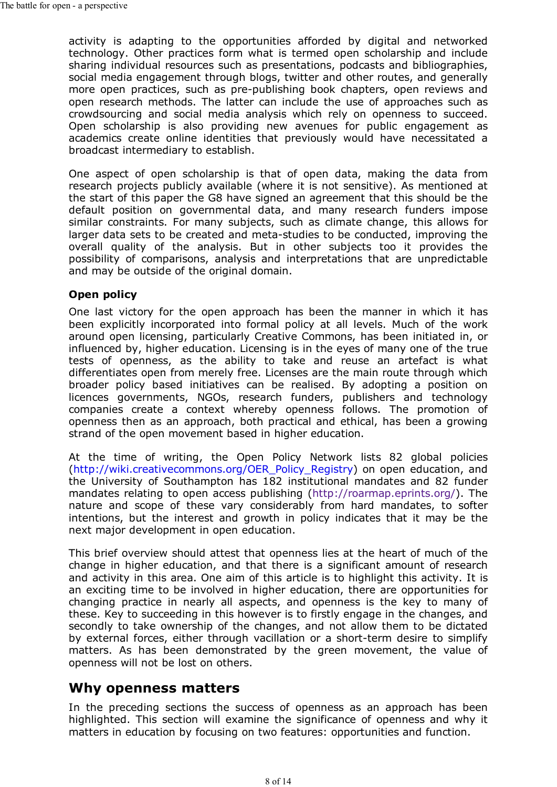activity is adapting to the opportunities afforded by digital and networked technology. Other practices form what is termed open scholarship and include sharing individual resources such as presentations, podcasts and bibliographies, social media engagement through blogs, twitter and other routes, and generally more open practices, such as pre-publishing book chapters, open reviews and open research methods. The latter can include the use of approaches such as crowdsourcing and social media analysis which rely on openness to succeed. Open scholarship is also providing new avenues for public engagement as academics create online identities that previously would have necessitated a broadcast intermediary to establish.

One aspect of open scholarship is that of open data, making the data from research projects publicly available (where it is not sensitive). As mentioned at the start of this paper the G8 have signed an agreement that this should be the default position on governmental data, and many research funders impose similar constraints. For many subjects, such as climate change, this allows for larger data sets to be created and meta-studies to be conducted, improving the overall quality of the analysis. But in other subjects too it provides the possibility of comparisons, analysis and interpretations that are unpredictable and may be outside of the original domain.

#### **Open policy**

One last victory for the open approach has been the manner in which it has been explicitly incorporated into formal policy at all levels. Much of the work around open licensing, particularly Creative Commons, has been initiated in, or influenced by, higher education. Licensing is in the eyes of many one of the true tests of openness, as the ability to take and reuse an artefact is what differentiates open from merely free. Licenses are the main route through which broader policy based initiatives can be realised. By adopting a position on licences governments, NGOs, research funders, publishers and technology companies create a context whereby openness follows. The promotion of openness then as an approach, both practical and ethical, has been a growing strand of the open movement based in higher education.

At the time of writing, the Open Policy Network lists 82 global policies (http://wiki.creativecommons.org/OER\_Policy\_Registry) on open education, and the University of Southampton has 182 institutional mandates and 82 funder mandates relating to open access publishing (http://roarmap.eprints.org/). The nature and scope of these vary considerably from hard mandates, to softer intentions, but the interest and growth in policy indicates that it may be the next major development in open education.

This brief overview should attest that openness lies at the heart of much of the change in higher education, and that there is a significant amount of research and activity in this area. One aim of this article is to highlight this activity. It is an exciting time to be involved in higher education, there are opportunities for changing practice in nearly all aspects, and openness is the key to many of these. Key to succeeding in this however is to firstly engage in the changes, and secondly to take ownership of the changes, and not allow them to be dictated by external forces, either through vacillation or a short-term desire to simplify matters. As has been demonstrated by the green movement, the value of openness will not be lost on others.

### **Why openness matters**

In the preceding sections the success of openness as an approach has been highlighted. This section will examine the significance of openness and why it matters in education by focusing on two features: opportunities and function.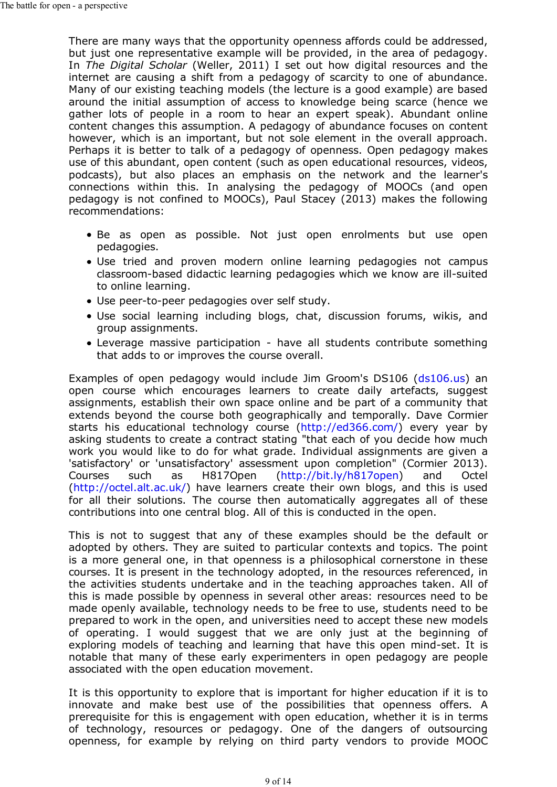There are many ways that the opportunity openness affords could be addressed, but just one representative example will be provided, in the area of pedagogy. In *The Digital Scholar* (Weller, 2011) I set out how digital resources and the internet are causing a shift from a pedagogy of scarcity to one of abundance. Many of our existing teaching models (the lecture is a good example) are based around the initial assumption of access to knowledge being scarce (hence we gather lots of people in a room to hear an expert speak). Abundant online content changes this assumption. A pedagogy of abundance focuses on content however, which is an important, but not sole element in the overall approach. Perhaps it is better to talk of a pedagogy of openness. Open pedagogy makes use of this abundant, open content (such as open educational resources, videos, podcasts), but also places an emphasis on the network and the learner's connections within this. In analysing the pedagogy of MOOCs (and open pedagogy is not confined to MOOCs), Paul Stacey (2013) makes the following recommendations:

- Be as open as possible. Not just open enrolments but use open pedagogies.
- Use tried and proven modern online learning pedagogies not campus classroom-based didactic learning pedagogies which we know are ill-suited to online learning.
- Use peer-to-peer pedagogies over self study.
- Use social learning including blogs, chat, discussion forums, wikis, and group assignments.
- Leverage massive participation have all students contribute something that adds to or improves the course overall.

Examples of open pedagogy would include Jim Groom's DS106 (ds106.us) an open course which encourages learners to create daily artefacts, suggest assignments, establish their own space online and be part of a community that extends beyond the course both geographically and temporally. Dave Cormier starts his educational technology course (http://ed366.com/) every year by asking students to create a contract stating "that each of you decide how much work you would like to do for what grade. Individual assignments are given a 'satisfactory' or 'unsatisfactory' assessment upon completion" (Cormier 2013). Courses such as H817Open (http://bit.ly/h817open) and Octel (http://octel.alt.ac.uk/) have learners create their own blogs, and this is used for all their solutions. The course then automatically aggregates all of these contributions into one central blog. All of this is conducted in the open.

This is not to suggest that any of these examples should be the default or adopted by others. They are suited to particular contexts and topics. The point is a more general one, in that openness is a philosophical cornerstone in these courses. It is present in the technology adopted, in the resources referenced, in the activities students undertake and in the teaching approaches taken. All of this is made possible by openness in several other areas: resources need to be made openly available, technology needs to be free to use, students need to be prepared to work in the open, and universities need to accept these new models of operating. I would suggest that we are only just at the beginning of exploring models of teaching and learning that have this open mind-set. It is notable that many of these early experimenters in open pedagogy are people associated with the open education movement.

It is this opportunity to explore that is important for higher education if it is to innovate and make best use of the possibilities that openness offers. A prerequisite for this is engagement with open education, whether it is in terms of technology, resources or pedagogy. One of the dangers of outsourcing openness, for example by relying on third party vendors to provide MOOC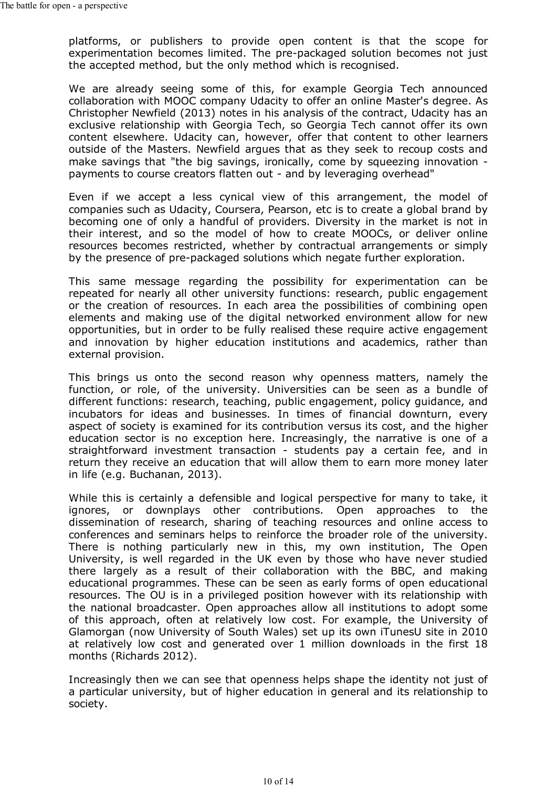platforms, or publishers to provide open content is that the scope for experimentation becomes limited. The pre-packaged solution becomes not just the accepted method, but the only method which is recognised.

We are already seeing some of this, for example Georgia Tech announced collaboration with MOOC company Udacity to offer an online Master's degree. As Christopher Newfield (2013) notes in his analysis of the contract, Udacity has an exclusive relationship with Georgia Tech, so Georgia Tech cannot offer its own content elsewhere. Udacity can, however, offer that content to other learners outside of the Masters. Newfield argues that as they seek to recoup costs and make savings that "the big savings, ironically, come by squeezing innovation payments to course creators flatten out - and by leveraging overhead"

Even if we accept a less cynical view of this arrangement, the model of companies such as Udacity, Coursera, Pearson, etc is to create a global brand by becoming one of only a handful of providers. Diversity in the market is not in their interest, and so the model of how to create MOOCs, or deliver online resources becomes restricted, whether by contractual arrangements or simply by the presence of pre-packaged solutions which negate further exploration.

This same message regarding the possibility for experimentation can be repeated for nearly all other university functions: research, public engagement or the creation of resources. In each area the possibilities of combining open elements and making use of the digital networked environment allow for new opportunities, but in order to be fully realised these require active engagement and innovation by higher education institutions and academics, rather than external provision.

This brings us onto the second reason why openness matters, namely the function, or role, of the university. Universities can be seen as a bundle of different functions: research, teaching, public engagement, policy guidance, and incubators for ideas and businesses. In times of financial downturn, every aspect of society is examined for its contribution versus its cost, and the higher education sector is no exception here. Increasingly, the narrative is one of a straightforward investment transaction - students pay a certain fee, and in return they receive an education that will allow them to earn more money later in life (e.g. Buchanan, 2013).

While this is certainly a defensible and logical perspective for many to take, it ignores, or downplays other contributions. Open approaches to the dissemination of research, sharing of teaching resources and online access to conferences and seminars helps to reinforce the broader role of the university. There is nothing particularly new in this, my own institution, The Open University, is well regarded in the UK even by those who have never studied there largely as a result of their collaboration with the BBC, and making educational programmes. These can be seen as early forms of open educational resources. The OU is in a privileged position however with its relationship with the national broadcaster. Open approaches allow all institutions to adopt some of this approach, often at relatively low cost. For example, the University of Glamorgan (now University of South Wales) set up its own iTunesU site in 2010 at relatively low cost and generated over 1 million downloads in the first 18 months (Richards 2012).

Increasingly then we can see that openness helps shape the identity not just of a particular university, but of higher education in general and its relationship to society.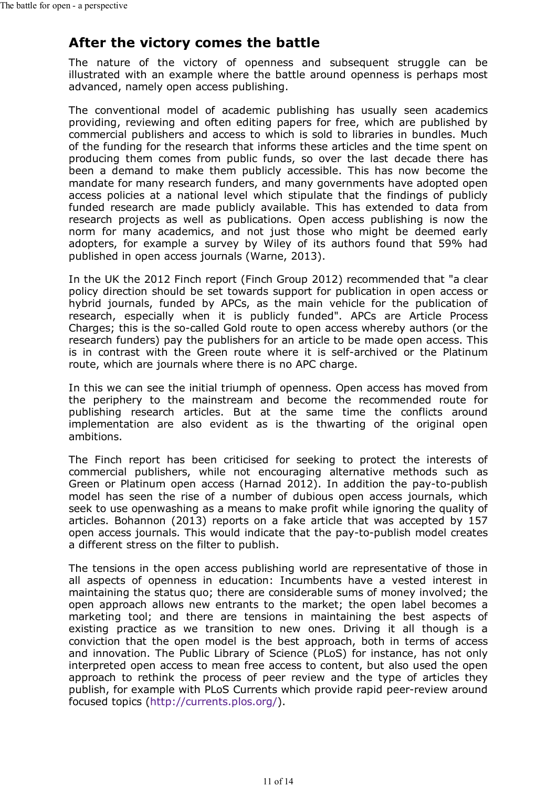### **After the victory comes the battle**

The nature of the victory of openness and subsequent struggle can be illustrated with an example where the battle around openness is perhaps most advanced, namely open access publishing.

The conventional model of academic publishing has usually seen academics providing, reviewing and often editing papers for free, which are published by commercial publishers and access to which is sold to libraries in bundles. Much of the funding for the research that informs these articles and the time spent on producing them comes from public funds, so over the last decade there has been a demand to make them publicly accessible. This has now become the mandate for many research funders, and many governments have adopted open access policies at a national level which stipulate that the findings of publicly funded research are made publicly available. This has extended to data from research projects as well as publications. Open access publishing is now the norm for many academics, and not just those who might be deemed early adopters, for example a survey by Wiley of its authors found that 59% had published in open access journals (Warne, 2013).

In the UK the 2012 Finch report (Finch Group 2012) recommended that "a clear policy direction should be set towards support for publication in open access or hybrid journals, funded by APCs, as the main vehicle for the publication of research, especially when it is publicly funded". APCs are Article Process Charges; this is the so-called Gold route to open access whereby authors (or the research funders) pay the publishers for an article to be made open access. This is in contrast with the Green route where it is self-archived or the Platinum route, which are journals where there is no APC charge.

In this we can see the initial triumph of openness. Open access has moved from the periphery to the mainstream and become the recommended route for publishing research articles. But at the same time the conflicts around implementation are also evident as is the thwarting of the original open ambitions.

The Finch report has been criticised for seeking to protect the interests of commercial publishers, while not encouraging alternative methods such as Green or Platinum open access (Harnad 2012). In addition the pay-to-publish model has seen the rise of a number of dubious open access journals, which seek to use openwashing as a means to make profit while ignoring the quality of articles. Bohannon (2013) reports on a fake article that was accepted by 157 open access journals. This would indicate that the pay-to-publish model creates a different stress on the filter to publish.

The tensions in the open access publishing world are representative of those in all aspects of openness in education: Incumbents have a vested interest in maintaining the status quo; there are considerable sums of money involved; the open approach allows new entrants to the market; the open label becomes a marketing tool; and there are tensions in maintaining the best aspects of existing practice as we transition to new ones. Driving it all though is a conviction that the open model is the best approach, both in terms of access and innovation. The Public Library of Science (PLoS) for instance, has not only interpreted open access to mean free access to content, but also used the open approach to rethink the process of peer review and the type of articles they publish, for example with PLoS Currents which provide rapid peer-review around focused topics (http://currents.plos.org/).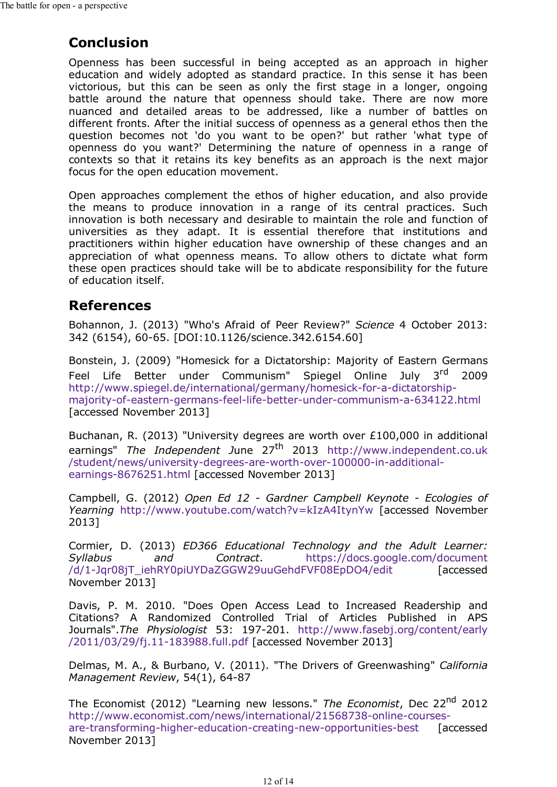# **Conclusion**

Openness has been successful in being accepted as an approach in higher education and widely adopted as standard practice. In this sense it has been victorious, but this can be seen as only the first stage in a longer, ongoing battle around the nature that openness should take. There are now more nuanced and detailed areas to be addressed, like a number of battles on different fronts. After the initial success of openness as a general ethos then the question becomes not 'do you want to be open?' but rather 'what type of openness do you want?' Determining the nature of openness in a range of contexts so that it retains its key benefits as an approach is the next major focus for the open education movement.

Open approaches complement the ethos of higher education, and also provide the means to produce innovation in a range of its central practices. Such innovation is both necessary and desirable to maintain the role and function of universities as they adapt. It is essential therefore that institutions and practitioners within higher education have ownership of these changes and an appreciation of what openness means. To allow others to dictate what form these open practices should take will be to abdicate responsibility for the future of education itself.

# **References**

Bohannon, J. (2013) "Who's Afraid of Peer Review?" *Science* 4 October 2013: 342 (6154), 60-65. [DOI:10.1126/science.342.6154.60]

Bonstein, J. (2009) "Homesick for a Dictatorship: Majority of Eastern Germans Feel Life Better under Communism" Spiegel Online July 3<sup>rd</sup> 2009 http://www.spiegel.de/international/germany/homesick-for-a-dictatorshipmajority-of-eastern-germans-feel-life-better-under-communism-a-634122.html [accessed November 2013]

Buchanan, R. (2013) "University degrees are worth over £100,000 in additional earnings" *The Independent J*une 27th 2013 http://www.independent.co.uk /student/news/university-degrees-are-worth-over-100000-in-additionalearnings-8676251.html [accessed November 2013]

Campbell, G. (2012) *Open Ed 12 - Gardner Campbell Keynote - Ecologies of Yearning* http://www.youtube.com/watch?v=kIzA4ItynYw [accessed November 2013]

Cormier, D. (2013) *ED366 Educational Technology and the Adult Learner: Syllabus and Contract*. https://docs.google.com/document /d/1-Jqr08jT\_iehRY0piUYDaZGGW29uuGehdFVF08EpDO4/edit [accessed November 2013]

Davis, P. M. 2010. "Does Open Access Lead to Increased Readership and Citations? A Randomized Controlled Trial of Articles Published in APS Journals".*The Physiologist* 53: 197-201. http://www.fasebj.org/content/early /2011/03/29/fj.11-183988.full.pdf [accessed November 2013]

Delmas, M. A., & Burbano, V. (2011). "The Drivers of Greenwashing" *California Management Review*, 54(1), 64-87

The Economist (2012) "Learning new lessons." *The Economist*, Dec 22nd 2012 http://www.economist.com/news/international/21568738-online-coursesare-transforming-higher-education-creating-new-opportunities-best [accessed] November 2013]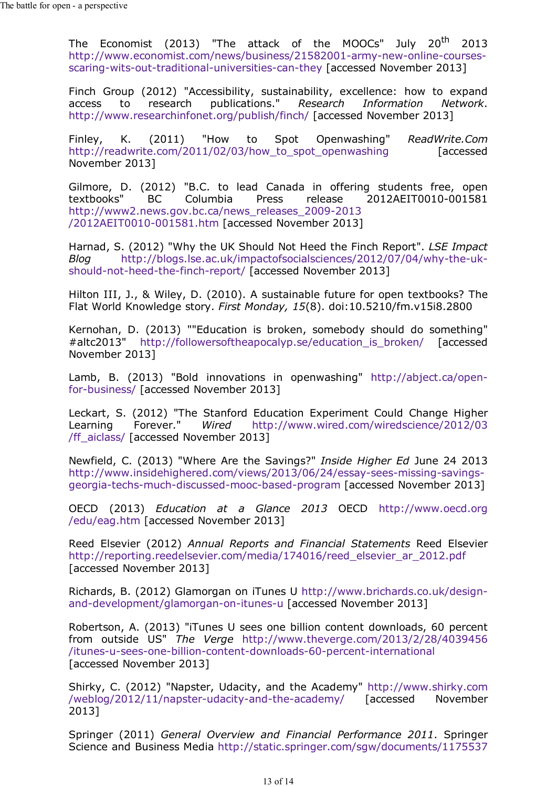The Economist (2013) "The attack of the MOOCs" July 20<sup>th</sup> 2013 http://www.economist.com/news/business/21582001-army-new-online-coursesscaring-wits-out-traditional-universities-can-they [accessed November 2013]

Finch Group (2012) "Accessibility, sustainability, excellence: how to expand access to research publications." *Research Information Network*. http://www.researchinfonet.org/publish/finch/ [accessed November 2013]

Finley, K. (2011) "How to Spot Openwashing" *ReadWrite.Com* http://readwrite.com/2011/02/03/how\_to\_spot\_openwashing [accessed November 2013]

Gilmore, D. (2012) "B.C. to lead Canada in offering students free, open textbooks" BC Columbia Press release 2012AEIT0010-001581 Columbia Press release 2012AEIT0010-001581 http://www2.news.gov.bc.ca/news\_releases\_2009-2013 /2012AEIT0010-001581.htm [accessed November 2013]

Harnad, S. (2012) "Why the UK Should Not Heed the Finch Report". *LSE Impact Blog* http://blogs.lse.ac.uk/impactofsocialsciences/2012/07/04/why-the-ukshould-not-heed-the-finch-report/ [accessed November 2013]

Hilton III, J., & Wiley, D. (2010). A sustainable future for open textbooks? The Flat World Knowledge story. *First Monday, 15*(8). doi:10.5210/fm.v15i8.2800

Kernohan, D. (2013) ""Education is broken, somebody should do something" #altc2013" http://followersoftheapocalyp.se/education\_is\_broken/ [accessed November 2013]

Lamb, B. (2013) "Bold innovations in openwashing" http://abject.ca/openfor-business/ [accessed November 2013]

Leckart, S. (2012) "The Stanford Education Experiment Could Change Higher Learning Forever." *Wired* http://www.wired.com/wiredscience/2012/03 /ff\_aiclass/ [accessed November 2013]

Newfield, C. (2013) "Where Are the Savings?" *Inside Higher Ed* June 24 2013 http://www.insidehighered.com/views/2013/06/24/essay-sees-missing-savingsgeorgia-techs-much-discussed-mooc-based-program [accessed November 2013]

OECD (2013) *Education at a Glance 2013* OECD http://www.oecd.org /edu/eag.htm [accessed November 2013]

Reed Elsevier (2012) *Annual Reports and Financial Statements* Reed Elsevier http://reporting.reedelsevier.com/media/174016/reed\_elsevier\_ar\_2012.pdf [accessed November 2013]

Richards, B. (2012) Glamorgan on iTunes U http://www.brichards.co.uk/designand-development/glamorgan-on-itunes-u [accessed November 2013]

Robertson, A. (2013) "iTunes U sees one billion content downloads, 60 percent from outside US" *The Verge* http://www.theverge.com/2013/2/28/4039456 /itunes-u-sees-one-billion-content-downloads-60-percent-international [accessed November 2013]

Shirky, C. (2012) "Napster, Udacity, and the Academy" http://www.shirky.com /weblog/2012/11/napster-udacity-and-the-academy/ [accessed November 2013]

Springer (2011) *General Overview and Financial Performance 2011*. Springer Science and Business Media http://static.springer.com/sgw/documents/1175537